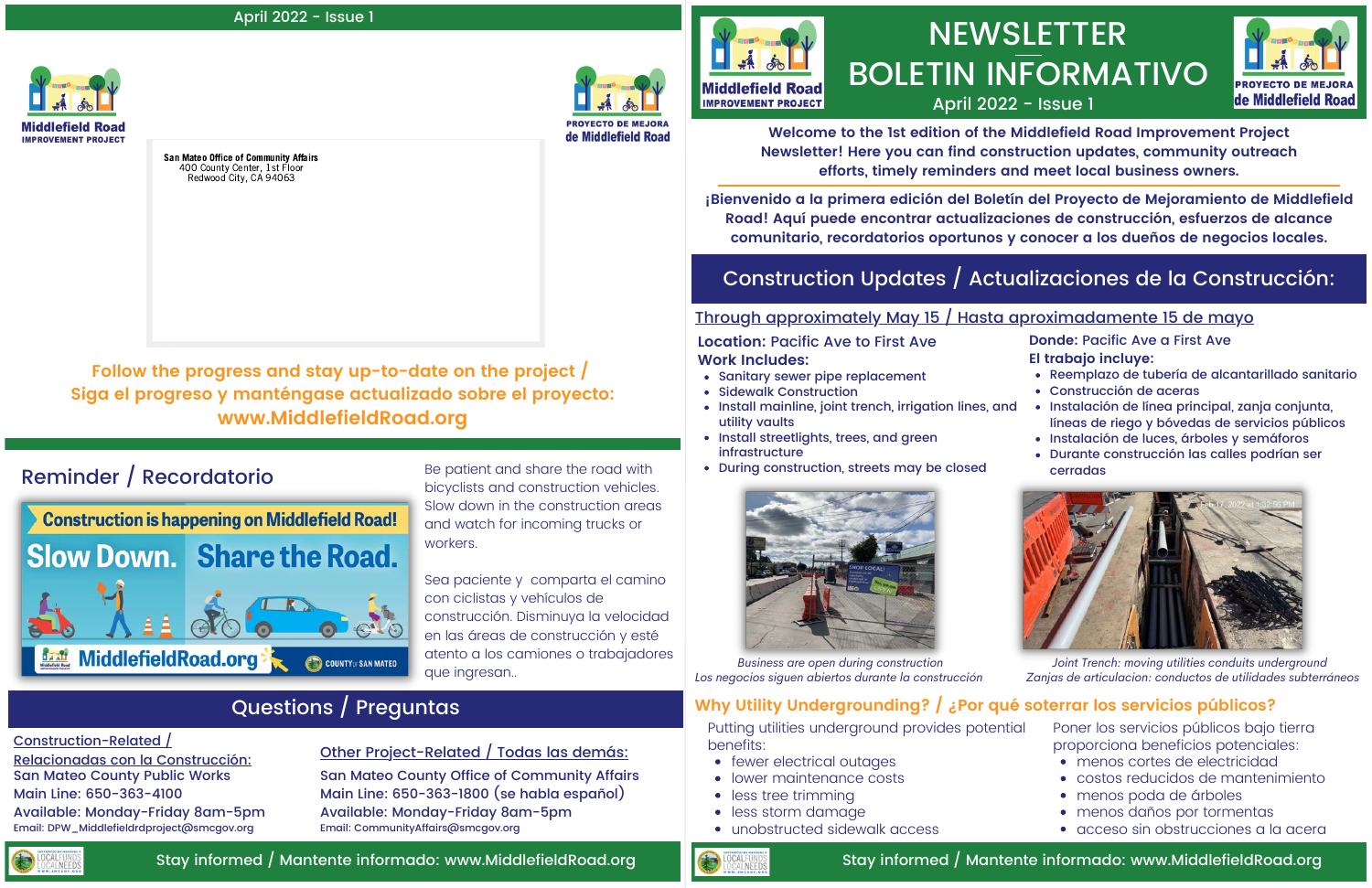# **NEWSLETTER** BOLETIN INFORMATIVO April 2022 - Issue 1



## Construction Updates / Actualizaciones de la Construcción:

- Sanitary sewer pipe replacement
- Sidewalk Construction
- Install mainline, joint trench, irrigation lines, and utility vaults
- Install streetlights, trees, and green infrastructure
- During construction, streets may be closed



**Location:** Pacific Ave to First Ave **Work Includes:**

## Through approximately May 15 / Hasta aproximadamente 15 de mayo

**Donde:** Pacific Ave a First Ave

- **El trabajo incluye:**
- Reemplazo de tubería de alcantarillado sanitario
- Construcción de aceras
- Instalación de línea principal, zanja conjunta, líneas de riego y bóvedas de servicios públicos
- Instalación de luces, árboles y semáforos
- Durante construcción las calles podrían ser cerradas



Reminder / Recordatorio Be patient and share the road with bicyclists and construction vehicles. Slow down in the construction areas and watch for incoming trucks or workers.

> *Joint Trench: moving utilities conduits underground Zanjas de articulacion: conductos de utilidades subterráneos*

*Business are open during construction Los negocios siguen abiertos durante la construcción*

#### April 2022 - Issue 1



**Welcome to the 1st edition of the Middlefield Road Improvement Project Newsletter! Here you can find construction updates, community outreach efforts, timely reminders and meet local business owners.**

- fewer electrical outages
- lower maintenance costs
- less tree trimming
- less storm damage
- unobstructed sidewalk access

**¡Bienvenido a la primera edición del Boletín del Proyecto de Mejoramiento de Middlefield Road! Aquí puede encontrar actualizaciones de construcción, esfuerzos de alcance comunitario, recordatorios oportunos y conocer a los dueños de negocios locales.**

Sea paciente y comparta el camino con ciclistas y vehículos de construcción. Disminuya la velocidad en las áreas de construcción y esté atento a los camiones o trabajadores que ingresan..

## Questions / Preguntas

#### Construction-Related /

Relacionadas con la Construcción: San Mateo County Public Works Main Line: 650-363-4100 Available: Monday-Friday 8am-5pm Email: DPW\_Middlefieldrdproject@smcgov.org

### Other Project-Related / Todas las demás:

San Mateo County Office of Community Affairs Main Line: 650-363-1800 (se habla español) Available: Monday-Friday 8am-5pm Email: CommunityAffairs@smcgov.org



### Stay informed / Mantente informado: www.MiddlefieldRoad.org

San Mateo Office of Community Affairs 400 County Center, 1st Floor Redwood City, CA 94063



de Middlefield Road



Stay informed / Mantente informado: www.MiddlefieldRoad.org



## **Why Utility Undergrounding? / ¿Por qué soterrar los servicios públicos?**

Putting utilities underground provides potential benefits:

- menos cortes de electricidad
- costos reducidos de mantenimiento
- menos poda de árboles
- menos daños por tormentas
- acceso sin obstrucciones a la acera

Poner los servicios públicos bajo tierra proporciona beneficios potenciales:

**Follow the progress and stay up-to-date on the project / Siga el progreso y manténgase actualizado sobre el proyecto: www.MiddlefieldRoad.org**